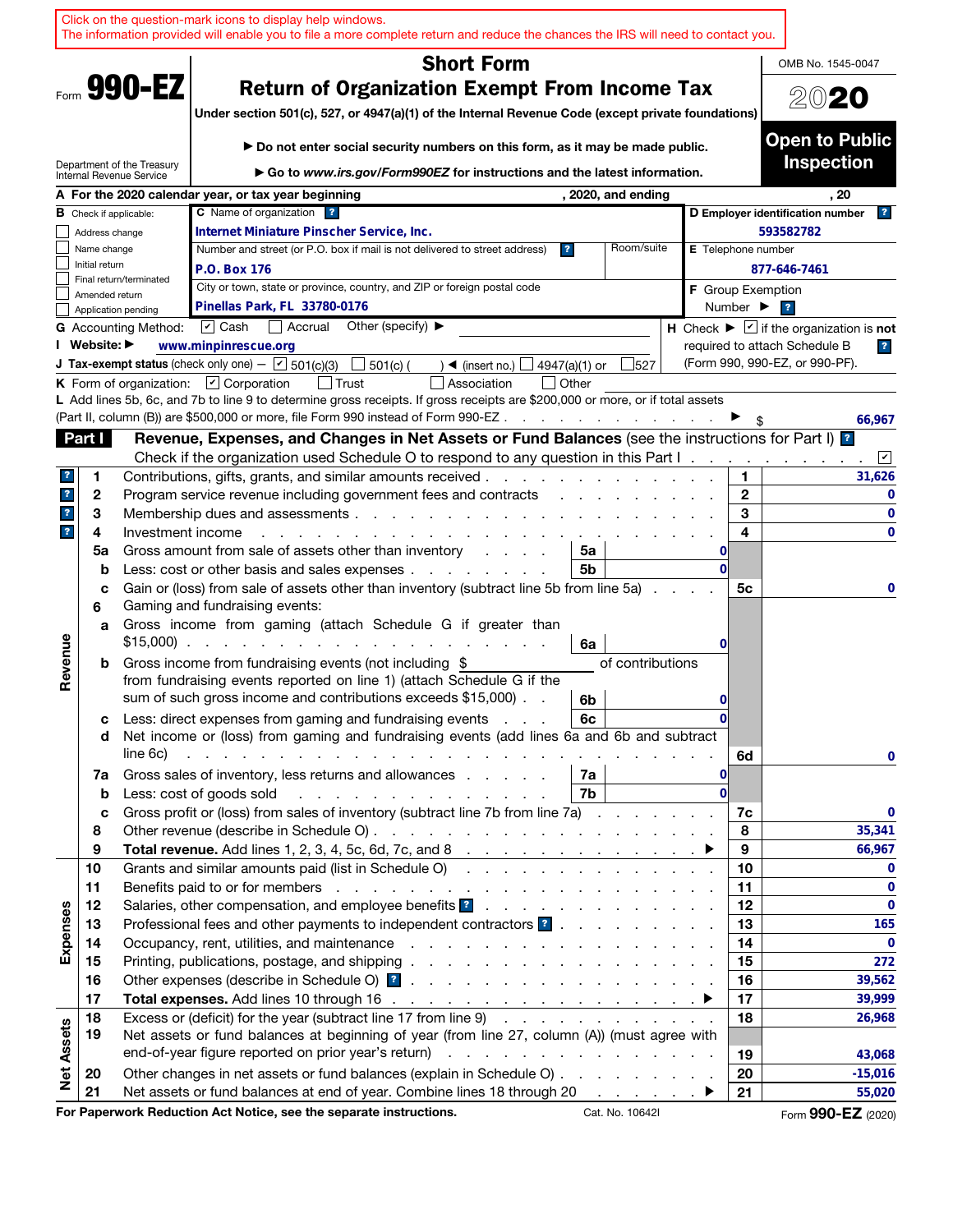|                                                                |                               | Click on the question-mark icons to display help windows.<br>The information provided will enable you to file a more complete return and reduce the chances the IRS will need to contact you.                                  |                                                                                                              |                               |                                                                                                    |                                       |                                           |  |                         |                                                |                                                                                                                 |                           |                              |                         |                                                                                                               |                         |
|----------------------------------------------------------------|-------------------------------|--------------------------------------------------------------------------------------------------------------------------------------------------------------------------------------------------------------------------------|--------------------------------------------------------------------------------------------------------------|-------------------------------|----------------------------------------------------------------------------------------------------|---------------------------------------|-------------------------------------------|--|-------------------------|------------------------------------------------|-----------------------------------------------------------------------------------------------------------------|---------------------------|------------------------------|-------------------------|---------------------------------------------------------------------------------------------------------------|-------------------------|
|                                                                |                               |                                                                                                                                                                                                                                |                                                                                                              |                               |                                                                                                    |                                       | <b>Short Form</b>                         |  |                         |                                                |                                                                                                                 |                           |                              |                         | OMB No. 1545-0047                                                                                             |                         |
| 990-EZ<br><b>Return of Organization Exempt From Income Tax</b> |                               |                                                                                                                                                                                                                                |                                                                                                              |                               |                                                                                                    |                                       |                                           |  |                         |                                                |                                                                                                                 |                           |                              |                         |                                                                                                               |                         |
|                                                                |                               |                                                                                                                                                                                                                                |                                                                                                              |                               | Under section 501(c), 527, or 4947(a)(1) of the Internal Revenue Code (except private foundations) |                                       |                                           |  |                         |                                                |                                                                                                                 |                           |                              |                         | 2020                                                                                                          |                         |
|                                                                |                               |                                                                                                                                                                                                                                |                                                                                                              |                               |                                                                                                    |                                       |                                           |  |                         |                                                |                                                                                                                 |                           |                              |                         | <b>Open to Public</b>                                                                                         |                         |
|                                                                |                               |                                                                                                                                                                                                                                |                                                                                                              |                               | Do not enter social security numbers on this form, as it may be made public.                       |                                       |                                           |  |                         |                                                |                                                                                                                 |                           |                              |                         |                                                                                                               |                         |
|                                                                |                               | Department of the Treasury<br>Internal Revenue Service                                                                                                                                                                         |                                                                                                              |                               | Go to www.irs.gov/Form990EZ for instructions and the latest information.                           |                                       |                                           |  |                         |                                                |                                                                                                                 |                           |                              |                         | <b>Inspection</b>                                                                                             |                         |
|                                                                |                               | A For the 2020 calendar year, or tax year beginning                                                                                                                                                                            |                                                                                                              |                               |                                                                                                    |                                       |                                           |  |                         |                                                | , 2020, and ending                                                                                              |                           |                              |                         | , 20                                                                                                          |                         |
|                                                                |                               | <b>B</b> Check if applicable:                                                                                                                                                                                                  |                                                                                                              | <b>C</b> Name of organization | $\mathbf{r}$                                                                                       |                                       |                                           |  |                         |                                                |                                                                                                                 |                           |                              |                         | D Employer identification number                                                                              | $\mathbf{R}$            |
|                                                                | Address change                |                                                                                                                                                                                                                                |                                                                                                              |                               | Internet Miniature Pinscher Service, Inc.                                                          |                                       |                                           |  |                         |                                                |                                                                                                                 |                           |                              |                         | 593582782                                                                                                     |                         |
|                                                                | Name change<br>Initial return |                                                                                                                                                                                                                                |                                                                                                              |                               | Number and street (or P.O. box if mail is not delivered to street address)                         |                                       |                                           |  | $\overline{\mathbf{r}}$ |                                                | Room/suite                                                                                                      | <b>E</b> Telephone number |                              |                         |                                                                                                               |                         |
|                                                                |                               | Final return/terminated                                                                                                                                                                                                        | P.O. Box 176                                                                                                 |                               |                                                                                                    |                                       |                                           |  |                         |                                                |                                                                                                                 |                           |                              |                         | 877-646-7461                                                                                                  |                         |
|                                                                | Amended return                |                                                                                                                                                                                                                                |                                                                                                              |                               | City or town, state or province, country, and ZIP or foreign postal code                           |                                       |                                           |  |                         |                                                |                                                                                                                 | <b>F</b> Group Exemption  |                              |                         |                                                                                                               |                         |
|                                                                |                               | Application pending                                                                                                                                                                                                            | Pinellas Park, FL 33780-0176                                                                                 |                               |                                                                                                    |                                       |                                           |  |                         |                                                |                                                                                                                 |                           | Number $\blacktriangleright$ | $\overline{\mathbf{r}}$ |                                                                                                               |                         |
|                                                                | Website: ▶                    | <b>G</b> Accounting Method:                                                                                                                                                                                                    | $\triangleright$ Cash                                                                                        | Accrual                       |                                                                                                    | Other (specify) $\blacktriangleright$ |                                           |  |                         |                                                |                                                                                                                 |                           |                              |                         | H Check $\blacktriangleright \blacktriangleright$ if the organization is not<br>required to attach Schedule B |                         |
|                                                                |                               | <b>J Tax-exempt status</b> (check only one) $ \boxed{\mathbf{v}}$ 501(c)(3)                                                                                                                                                    | www.minpinrescue.org                                                                                         |                               |                                                                                                    |                                       |                                           |  |                         |                                                |                                                                                                                 |                           |                              |                         | (Form 990, 990-EZ, or 990-PF).                                                                                | $\overline{\mathbf{r}}$ |
|                                                                |                               | K Form of organization: $\boxed{V}$ Corporation                                                                                                                                                                                |                                                                                                              |                               | l Trust                                                                                            | 501(c) (                              | $\rightarrow$ (insert no.)<br>Association |  |                         | 4947(a)(1) or<br>Other                         | 527                                                                                                             |                           |                              |                         |                                                                                                               |                         |
|                                                                |                               | L Add lines 5b, 6c, and 7b to line 9 to determine gross receipts. If gross receipts are \$200,000 or more, or if total assets                                                                                                  |                                                                                                              |                               |                                                                                                    |                                       |                                           |  |                         |                                                |                                                                                                                 |                           |                              |                         |                                                                                                               |                         |
|                                                                |                               | (Part II, column (B)) are \$500,000 or more, file Form 990 instead of Form 990-EZ.                                                                                                                                             |                                                                                                              |                               |                                                                                                    |                                       |                                           |  |                         |                                                | and a state of the state of                                                                                     |                           |                              |                         |                                                                                                               | 66,967                  |
|                                                                | <b>Part I</b>                 |                                                                                                                                                                                                                                | Revenue, Expenses, and Changes in Net Assets or Fund Balances (see the instructions for Part I) <sup>2</sup> |                               |                                                                                                    |                                       |                                           |  |                         |                                                |                                                                                                                 |                           |                              |                         |                                                                                                               |                         |
|                                                                |                               |                                                                                                                                                                                                                                | Check if the organization used Schedule O to respond to any question in this Part I.                         |                               |                                                                                                    |                                       |                                           |  |                         |                                                |                                                                                                                 |                           |                              |                         |                                                                                                               | $\sqrt{2}$              |
| ?                                                              | 1                             | Contributions, gifts, grants, and similar amounts received.                                                                                                                                                                    |                                                                                                              |                               |                                                                                                    |                                       |                                           |  |                         |                                                | the contract of the contract of the contract of the contract of the contract of the contract of the contract of |                           | 1.                           |                         |                                                                                                               | 31,626                  |
| $\mathbf{r}$                                                   | 2                             | Program service revenue including government fees and contracts                                                                                                                                                                |                                                                                                              |                               |                                                                                                    |                                       |                                           |  |                         | $\mathbf{r}$ and $\mathbf{r}$ and $\mathbf{r}$ |                                                                                                                 |                           | $\mathbf{2}$                 |                         |                                                                                                               | 0                       |
| $\mathbf{?}$                                                   | 3                             |                                                                                                                                                                                                                                |                                                                                                              |                               |                                                                                                    |                                       |                                           |  |                         |                                                |                                                                                                                 |                           | 3                            |                         |                                                                                                               | $\bf{0}$                |
| $\mathbf{?}$                                                   | 4                             | Investment income                                                                                                                                                                                                              |                                                                                                              |                               |                                                                                                    |                                       |                                           |  |                         |                                                |                                                                                                                 |                           | 4                            |                         |                                                                                                               | $\bf{0}$                |
|                                                                | 5a                            | Gross amount from sale of assets other than inventory                                                                                                                                                                          |                                                                                                              |                               |                                                                                                    |                                       |                                           |  |                         | 5a                                             |                                                                                                                 | 0                         |                              |                         |                                                                                                               |                         |
|                                                                | b                             | Less: cost or other basis and sales expenses                                                                                                                                                                                   |                                                                                                              |                               |                                                                                                    |                                       |                                           |  |                         | 5b                                             |                                                                                                                 | $\Omega$                  |                              |                         |                                                                                                               |                         |
|                                                                | c<br>6                        | Gain or (loss) from sale of assets other than inventory (subtract line 5b from line 5a)<br>Gaming and fundraising events:                                                                                                      |                                                                                                              |                               |                                                                                                    |                                       |                                           |  |                         |                                                |                                                                                                                 |                           | 5с                           |                         |                                                                                                               | 0                       |
|                                                                | a                             | Gross income from gaming (attach Schedule G if greater than<br>$$15,000$                                                                                                                                                       |                                                                                                              |                               |                                                                                                    |                                       |                                           |  |                         | 6a                                             |                                                                                                                 | 0                         |                              |                         |                                                                                                               |                         |
| Revenue                                                        | b                             | Gross income from fundraising events (not including \$                                                                                                                                                                         |                                                                                                              |                               |                                                                                                    |                                       |                                           |  |                         |                                                | of contributions                                                                                                |                           |                              |                         |                                                                                                               |                         |
|                                                                |                               | from fundraising events reported on line 1) (attach Schedule G if the                                                                                                                                                          |                                                                                                              |                               |                                                                                                    |                                       |                                           |  |                         |                                                |                                                                                                                 |                           |                              |                         |                                                                                                               |                         |
|                                                                |                               | sum of such gross income and contributions exceeds \$15,000).                                                                                                                                                                  |                                                                                                              |                               |                                                                                                    |                                       |                                           |  |                         | 6b                                             |                                                                                                                 | $\mathbf{0}$              |                              |                         |                                                                                                               |                         |
|                                                                | с                             | Less: direct expenses from gaming and fundraising events                                                                                                                                                                       |                                                                                                              |                               |                                                                                                    |                                       |                                           |  |                         | 6с                                             |                                                                                                                 | 0                         |                              |                         |                                                                                                               |                         |
|                                                                | d                             | Net income or (loss) from gaming and fundraising events (add lines 6a and 6b and subtract                                                                                                                                      |                                                                                                              |                               |                                                                                                    |                                       |                                           |  |                         |                                                |                                                                                                                 |                           |                              |                         |                                                                                                               |                         |
|                                                                |                               | line 6c)                                                                                                                                                                                                                       |                                                                                                              |                               | the contract of the contract of the contract of the contract of the contract of                    |                                       |                                           |  |                         |                                                |                                                                                                                 |                           | 6d                           |                         |                                                                                                               | 0                       |
|                                                                | 7a                            | Gross sales of inventory, less returns and allowances                                                                                                                                                                          |                                                                                                              |                               |                                                                                                    |                                       |                                           |  |                         | 7a                                             |                                                                                                                 | 0                         |                              |                         |                                                                                                               |                         |
|                                                                | $\mathbf b$                   | Less: cost of goods sold                                                                                                                                                                                                       |                                                                                                              |                               | and a straightful and a straight and a straight                                                    |                                       |                                           |  |                         | 7b                                             |                                                                                                                 | $\Omega$                  |                              |                         |                                                                                                               |                         |
|                                                                | c                             | Gross profit or (loss) from sales of inventory (subtract line 7b from line 7a)                                                                                                                                                 |                                                                                                              |                               |                                                                                                    |                                       |                                           |  |                         |                                                |                                                                                                                 |                           | 7c                           |                         |                                                                                                               | 0                       |
|                                                                | 8                             |                                                                                                                                                                                                                                |                                                                                                              |                               |                                                                                                    |                                       |                                           |  |                         |                                                |                                                                                                                 |                           | 8                            |                         |                                                                                                               | 35,341                  |
|                                                                | 9                             | Grants and similar amounts paid (list in Schedule O)                                                                                                                                                                           |                                                                                                              |                               |                                                                                                    |                                       |                                           |  |                         |                                                |                                                                                                                 |                           | 9<br>10                      |                         |                                                                                                               | 66,967<br>0             |
|                                                                | 10<br>11                      |                                                                                                                                                                                                                                |                                                                                                              |                               |                                                                                                    |                                       |                                           |  |                         |                                                |                                                                                                                 |                           | 11                           |                         |                                                                                                               | $\mathbf 0$             |
|                                                                | 12                            |                                                                                                                                                                                                                                |                                                                                                              |                               |                                                                                                    |                                       |                                           |  |                         |                                                |                                                                                                                 |                           | 12                           |                         |                                                                                                               | $\mathbf 0$             |
| Expenses                                                       | 13                            | Professional fees and other payments to independent contractors ?                                                                                                                                                              |                                                                                                              |                               |                                                                                                    |                                       |                                           |  |                         |                                                |                                                                                                                 |                           | 13                           |                         |                                                                                                               | 165                     |
|                                                                | 14                            | Occupancy, rent, utilities, and maintenance resource in the contract of the contract of the contract of the contract of the contract of the contract of the contract of the contract of the contract of the contract of the co |                                                                                                              |                               |                                                                                                    |                                       |                                           |  |                         |                                                |                                                                                                                 |                           | 14                           |                         |                                                                                                               | $\mathbf{0}$            |
|                                                                | 15                            |                                                                                                                                                                                                                                |                                                                                                              |                               |                                                                                                    |                                       |                                           |  |                         |                                                |                                                                                                                 |                           | 15                           |                         |                                                                                                               | 272                     |
|                                                                | 16                            |                                                                                                                                                                                                                                |                                                                                                              |                               |                                                                                                    |                                       |                                           |  |                         |                                                |                                                                                                                 |                           | 16                           |                         |                                                                                                               | 39,562                  |
|                                                                | 17                            |                                                                                                                                                                                                                                |                                                                                                              |                               |                                                                                                    |                                       |                                           |  |                         |                                                |                                                                                                                 |                           | 17                           |                         |                                                                                                               | 39,999                  |
|                                                                | 18                            | Excess or (deficit) for the year (subtract line 17 from line 9)                                                                                                                                                                |                                                                                                              |                               |                                                                                                    |                                       |                                           |  |                         |                                                |                                                                                                                 |                           | 18                           |                         |                                                                                                               | 26,968                  |
|                                                                | 19                            | Net assets or fund balances at beginning of year (from line 27, column (A)) (must agree with                                                                                                                                   |                                                                                                              |                               |                                                                                                    |                                       |                                           |  |                         |                                                |                                                                                                                 |                           |                              |                         |                                                                                                               |                         |
|                                                                |                               |                                                                                                                                                                                                                                |                                                                                                              |                               |                                                                                                    |                                       |                                           |  |                         |                                                |                                                                                                                 |                           | 19                           |                         |                                                                                                               | 43,068                  |
| <b>Net Assets</b>                                              | 20                            | Other changes in net assets or fund balances (explain in Schedule O)                                                                                                                                                           |                                                                                                              |                               |                                                                                                    |                                       |                                           |  |                         |                                                |                                                                                                                 |                           | 20                           |                         |                                                                                                               | $-15,016$               |
|                                                                | 21                            | Net assets or fund balances at end of year. Combine lines 18 through 20 ▶                                                                                                                                                      |                                                                                                              |                               |                                                                                                    |                                       |                                           |  |                         |                                                |                                                                                                                 |                           | 21                           |                         |                                                                                                               | 55,020                  |
|                                                                |                               | For Paperwork Reduction Act Notice, see the separate instructions.                                                                                                                                                             |                                                                                                              |                               |                                                                                                    |                                       |                                           |  |                         |                                                | Cat. No. 10642I                                                                                                 |                           |                              |                         | Form 990-EZ (2020)                                                                                            |                         |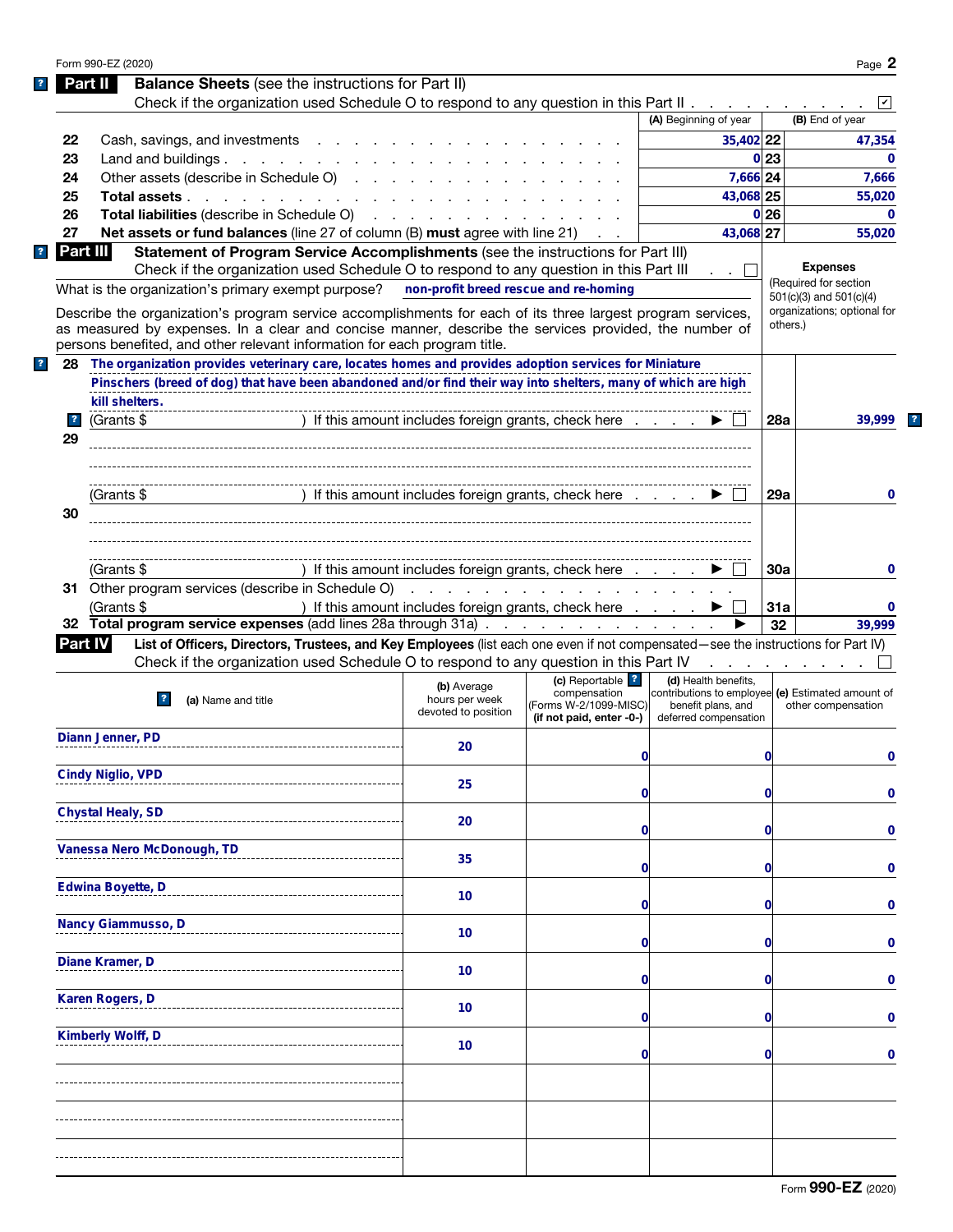|                         | Form 990-EZ (2020)                                                                                                                                                                                                             |                                                      |                                       |                                                                         |                 | Page 2                                                     |
|-------------------------|--------------------------------------------------------------------------------------------------------------------------------------------------------------------------------------------------------------------------------|------------------------------------------------------|---------------------------------------|-------------------------------------------------------------------------|-----------------|------------------------------------------------------------|
|                         | <b>Balance Sheets</b> (see the instructions for Part II)<br>Part II                                                                                                                                                            |                                                      |                                       |                                                                         |                 |                                                            |
|                         | Check if the organization used Schedule O to respond to any question in this Part II                                                                                                                                           |                                                      |                                       |                                                                         |                 |                                                            |
|                         |                                                                                                                                                                                                                                |                                                      |                                       | (A) Beginning of year                                                   |                 | (B) End of year                                            |
| 22                      | Cash, savings, and investments                                                                                                                                                                                                 |                                                      |                                       | 35,402 22                                                               |                 | 47,354                                                     |
| 23                      | Land and buildings. $\ldots$                                                                                                                                                                                                   |                                                      |                                       |                                                                         | 0 <sup>23</sup> | $\Omega$                                                   |
| 24                      | Other assets (describe in Schedule O)                                                                                                                                                                                          |                                                      |                                       | 7,666 24                                                                |                 | 7,666                                                      |
| 25                      | Total assets                                                                                                                                                                                                                   |                                                      |                                       | 43,068 25                                                               |                 | 55,020                                                     |
| 26                      | Total liabilities (describe in Schedule O) (Contact of Contact of Contact of Contact of Contact of Contact of Contact of Contact of Contact of Contact of Contact of Contact of Contact of Contact of Contact of Contact of Co |                                                      |                                       |                                                                         | 0 26            | $\mathbf{0}$                                               |
| 27                      | Net assets or fund balances (line 27 of column (B) must agree with line 21)                                                                                                                                                    |                                                      |                                       | 43,068 27                                                               |                 | 55,020                                                     |
|                         | Part III<br>Statement of Program Service Accomplishments (see the instructions for Part III)                                                                                                                                   |                                                      |                                       |                                                                         |                 |                                                            |
|                         | Check if the organization used Schedule O to respond to any question in this Part III                                                                                                                                          |                                                      |                                       | . . 11                                                                  |                 | <b>Expenses</b>                                            |
|                         | What is the organization's primary exempt purpose?                                                                                                                                                                             | non-profit breed rescue and re-homing                |                                       |                                                                         |                 | (Required for section                                      |
|                         |                                                                                                                                                                                                                                |                                                      |                                       |                                                                         |                 | $501(c)(3)$ and $501(c)(4)$<br>organizations; optional for |
|                         | Describe the organization's program service accomplishments for each of its three largest program services,<br>as measured by expenses. In a clear and concise manner, describe the services provided, the number of           |                                                      |                                       |                                                                         | others.)        |                                                            |
|                         | persons benefited, and other relevant information for each program title.                                                                                                                                                      |                                                      |                                       |                                                                         |                 |                                                            |
| 28                      | The organization provides veterinary care, locates homes and provides adoption services for Miniature                                                                                                                          |                                                      |                                       |                                                                         |                 |                                                            |
|                         | Pinschers (breed of dog) that have been abandoned and/or find their way into shelters, many of which are high                                                                                                                  |                                                      |                                       |                                                                         |                 |                                                            |
|                         | kill shelters.                                                                                                                                                                                                                 |                                                      |                                       |                                                                         |                 |                                                            |
|                         |                                                                                                                                                                                                                                |                                                      |                                       |                                                                         |                 |                                                            |
| $\overline{\mathbf{r}}$ | (Grants \$                                                                                                                                                                                                                     | ) If this amount includes foreign grants, check here |                                       |                                                                         | 28a             | 39,999                                                     |
| 29                      |                                                                                                                                                                                                                                |                                                      |                                       |                                                                         |                 |                                                            |
|                         |                                                                                                                                                                                                                                |                                                      |                                       |                                                                         |                 |                                                            |
|                         |                                                                                                                                                                                                                                |                                                      |                                       |                                                                         |                 |                                                            |
|                         | (Grants \$                                                                                                                                                                                                                     | ) If this amount includes foreign grants, check here |                                       |                                                                         | 29a             | 0                                                          |
| 30                      |                                                                                                                                                                                                                                |                                                      |                                       |                                                                         |                 |                                                            |
|                         |                                                                                                                                                                                                                                |                                                      |                                       |                                                                         |                 |                                                            |
|                         |                                                                                                                                                                                                                                |                                                      |                                       |                                                                         |                 |                                                            |
|                         | (Grants \$                                                                                                                                                                                                                     | ) If this amount includes foreign grants, check here |                                       |                                                                         | 30a             | 0                                                          |
|                         | 31 Other program services (describe in Schedule O)                                                                                                                                                                             |                                                      |                                       |                                                                         |                 |                                                            |
|                         | (Grants \$                                                                                                                                                                                                                     | ) If this amount includes foreign grants, check here |                                       |                                                                         | 31a             | 0                                                          |
|                         | 32 Total program service expenses (add lines 28a through 31a)                                                                                                                                                                  |                                                      |                                       |                                                                         | 32              | 39,999                                                     |
|                         | List of Officers, Directors, Trustees, and Key Employees (list each one even if not compensated—see the instructions for Part IV)<br><b>Part IV</b>                                                                            |                                                      |                                       |                                                                         |                 |                                                            |
|                         | Check if the organization used Schedule O to respond to any question in this Part IV                                                                                                                                           |                                                      |                                       |                                                                         |                 | .                                                          |
|                         |                                                                                                                                                                                                                                | (b) Average                                          | (c) Reportable ?                      | (d) Health benefits,                                                    |                 |                                                            |
|                         | (a) Name and title                                                                                                                                                                                                             | hours per week                                       | compensation<br>(Forms W-2/1099-MISC) | contributions to employee (e) Estimated amount of<br>benefit plans, and |                 | other compensation                                         |
|                         |                                                                                                                                                                                                                                | devoted to position                                  | (if not paid, enter -0-)              | deferred compensation                                                   |                 |                                                            |
|                         | Diann Jenner, PD                                                                                                                                                                                                               |                                                      |                                       |                                                                         |                 |                                                            |
|                         |                                                                                                                                                                                                                                | 20                                                   | 0                                     |                                                                         | 0               | 0                                                          |
|                         | <b>Cindy Niglio, VPD</b>                                                                                                                                                                                                       |                                                      |                                       |                                                                         |                 |                                                            |
|                         |                                                                                                                                                                                                                                | 25                                                   | 0                                     |                                                                         | 0               | 0                                                          |
|                         | <b>Chystal Healy, SD</b>                                                                                                                                                                                                       |                                                      |                                       |                                                                         |                 |                                                            |
|                         |                                                                                                                                                                                                                                | 20                                                   | 0                                     |                                                                         | 0               | 0                                                          |
|                         | Vanessa Nero McDonough, TD                                                                                                                                                                                                     |                                                      |                                       |                                                                         |                 |                                                            |
|                         |                                                                                                                                                                                                                                | 35                                                   | 0                                     |                                                                         | 0               | 0                                                          |
|                         | Edwina Boyette, D                                                                                                                                                                                                              |                                                      |                                       |                                                                         |                 |                                                            |
|                         |                                                                                                                                                                                                                                | 10                                                   |                                       |                                                                         |                 |                                                            |
|                         |                                                                                                                                                                                                                                |                                                      | 0                                     |                                                                         | 0               | 0                                                          |
|                         | Nancy Giammusso, D                                                                                                                                                                                                             | 10                                                   |                                       |                                                                         |                 |                                                            |
|                         |                                                                                                                                                                                                                                |                                                      | 0                                     |                                                                         | 0               | 0                                                          |
|                         | Diane Kramer, D                                                                                                                                                                                                                | 10                                                   |                                       |                                                                         |                 |                                                            |
|                         |                                                                                                                                                                                                                                |                                                      | 0                                     |                                                                         | 0               | 0                                                          |
|                         | Karen Rogers, D                                                                                                                                                                                                                | 10                                                   |                                       |                                                                         |                 |                                                            |
|                         |                                                                                                                                                                                                                                |                                                      | 0                                     |                                                                         | 0               | 0                                                          |
|                         | Kimberly Wolff, D                                                                                                                                                                                                              | 10                                                   |                                       |                                                                         |                 |                                                            |
|                         |                                                                                                                                                                                                                                |                                                      | O                                     |                                                                         | 0               | 0                                                          |
|                         |                                                                                                                                                                                                                                |                                                      |                                       |                                                                         |                 |                                                            |
|                         |                                                                                                                                                                                                                                |                                                      |                                       |                                                                         |                 |                                                            |
|                         |                                                                                                                                                                                                                                |                                                      |                                       |                                                                         |                 |                                                            |
|                         |                                                                                                                                                                                                                                |                                                      |                                       |                                                                         |                 |                                                            |
|                         |                                                                                                                                                                                                                                |                                                      |                                       |                                                                         |                 |                                                            |
|                         |                                                                                                                                                                                                                                |                                                      |                                       |                                                                         |                 |                                                            |
|                         |                                                                                                                                                                                                                                |                                                      |                                       |                                                                         |                 |                                                            |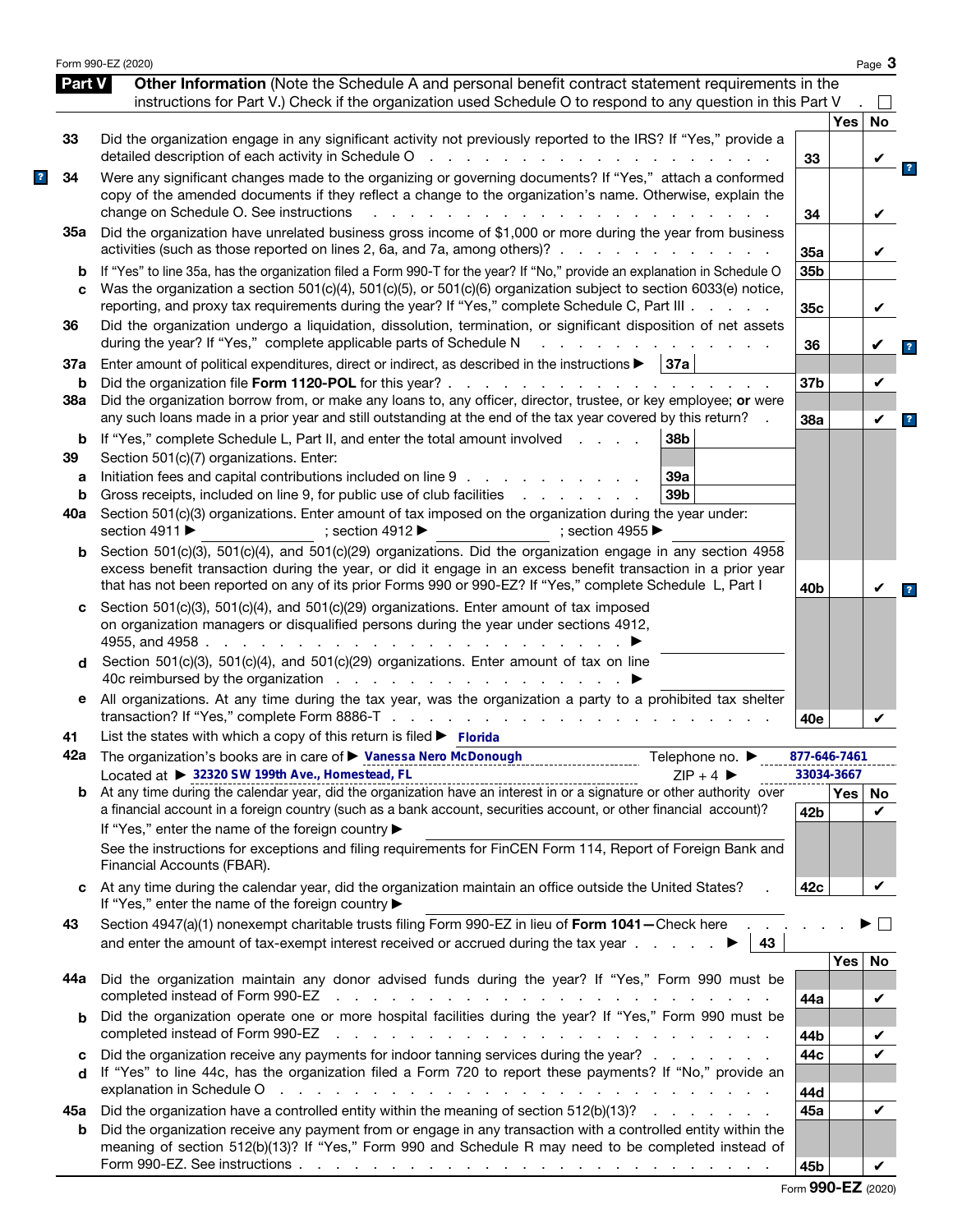|          | Form 990-EZ (2020)                                                                                                                                                                                                                                                                                                                               |                 |                   | Page 3       |
|----------|--------------------------------------------------------------------------------------------------------------------------------------------------------------------------------------------------------------------------------------------------------------------------------------------------------------------------------------------------|-----------------|-------------------|--------------|
| Part V   | Other Information (Note the Schedule A and personal benefit contract statement requirements in the<br>instructions for Part V.) Check if the organization used Schedule O to respond to any question in this Part V                                                                                                                              |                 |                   | $\mathsf{L}$ |
|          |                                                                                                                                                                                                                                                                                                                                                  |                 | <b>Yes</b>        | No           |
| 33       | Did the organization engage in any significant activity not previously reported to the IRS? If "Yes," provide a<br>detailed description of each activity in Schedule O<br>and a contract of the contract of the                                                                                                                                  | 33              |                   | V            |
| 34       | Were any significant changes made to the organizing or governing documents? If "Yes," attach a conformed<br>copy of the amended documents if they reflect a change to the organization's name. Otherwise, explain the<br>change on Schedule O. See instructions<br>$\mathbf{r}$                                                                  | 34              |                   | V            |
| 35а      | Did the organization have unrelated business gross income of \$1,000 or more during the year from business<br>activities (such as those reported on lines 2, 6a, and 7a, among others)?                                                                                                                                                          | 35a             |                   | V            |
| b<br>C   | If "Yes" to line 35a, has the organization filed a Form 990-T for the year? If "No," provide an explanation in Schedule O<br>Was the organization a section 501(c)(4), 501(c)(5), or 501(c)(6) organization subject to section 6033(e) notice,<br>reporting, and proxy tax requirements during the year? If "Yes," complete Schedule C, Part III | 35b<br>35c      |                   | V            |
| 36       | Did the organization undergo a liquidation, dissolution, termination, or significant disposition of net assets<br>during the year? If "Yes," complete applicable parts of Schedule N                                                                                                                                                             | 36              |                   |              |
| 37a      | Enter amount of political expenditures, direct or indirect, as described in the instructions $\blacktriangleright$   37a                                                                                                                                                                                                                         |                 |                   |              |
| b<br>38a | Did the organization file Form 1120-POL for this year?.<br>the second contract of the second contract of the second<br>Did the organization borrow from, or make any loans to, any officer, director, trustee, or key employee; or were                                                                                                          | 37b             |                   | V            |
|          | any such loans made in a prior year and still outstanding at the end of the tax year covered by this return?                                                                                                                                                                                                                                     | 38a             |                   | V            |
| b<br>39  | If "Yes," complete Schedule L, Part II, and enter the total amount involved<br>38b<br>Section 501(c)(7) organizations. Enter:                                                                                                                                                                                                                    |                 |                   |              |
| a        | Initiation fees and capital contributions included on line 9<br>39a                                                                                                                                                                                                                                                                              |                 |                   |              |
| b        | Gross receipts, included on line 9, for public use of club facilities<br>39 <sub>b</sub><br>and a state of the state of the                                                                                                                                                                                                                      |                 |                   |              |
| 40a      | Section 501(c)(3) organizations. Enter amount of tax imposed on the organization during the year under:<br>section 4911 $\blacktriangleright$<br>; section 4912 $\blacktriangleright$<br>: section 4955 $\blacktriangleright$                                                                                                                    |                 |                   |              |
| b        | Section 501(c)(3), 501(c)(4), and 501(c)(29) organizations. Did the organization engage in any section 4958<br>excess benefit transaction during the year, or did it engage in an excess benefit transaction in a prior year<br>that has not been reported on any of its prior Forms 990 or 990-EZ? If "Yes," complete Schedule L, Part I        | 40 <sub>b</sub> |                   | V            |
| c        | Section 501(c)(3), 501(c)(4), and 501(c)(29) organizations. Enter amount of tax imposed<br>on organization managers or disqualified persons during the year under sections 4912,<br>4955, and 4958.<br>the contract of the contract of the                                                                                                       |                 |                   |              |
| d        | Section 501(c)(3), 501(c)(4), and 501(c)(29) organizations. Enter amount of tax on line<br>40c reimbursed by the organization $\cdots$ $\cdots$ $\cdots$ $\cdots$ $\cdots$                                                                                                                                                                       |                 |                   |              |
| е        | All organizations. At any time during the tax year, was the organization a party to a prohibited tax shelter                                                                                                                                                                                                                                     | 40e             |                   | V            |
| 41       | List the states with which a copy of this return is filed $\blacktriangleright$ Florida                                                                                                                                                                                                                                                          |                 |                   |              |
|          | 42a The organization's books are in care of ▶ Vanessa Nero McDonough<br>Telephone no. $\blacktriangleright$                                                                                                                                                                                                                                      | 877-646-7461    |                   |              |
| b        | Located at ▶ 32320 SW 199th Ave., Homestead, FL<br>$ZIP + 4$                                                                                                                                                                                                                                                                                     |                 | 33034-3667<br>Yes | No           |
|          | a financial account in a foreign country (such as a bank account, securities account, or other financial account)?<br>If "Yes," enter the name of the foreign country ▶                                                                                                                                                                          | 42 <sub>b</sub> |                   | ✓            |
|          | See the instructions for exceptions and filing requirements for FinCEN Form 114, Report of Foreign Bank and<br>Financial Accounts (FBAR).                                                                                                                                                                                                        |                 |                   |              |
| C        | At any time during the calendar year, did the organization maintain an office outside the United States?<br>If "Yes," enter the name of the foreign country ▶                                                                                                                                                                                    | 42c             |                   | V            |
| 43       | Section 4947(a)(1) nonexempt charitable trusts filing Form 990-EZ in lieu of Form 1041-Check here.<br>and enter the amount of tax-exempt interest received or accrued during the tax year $\ldots$<br>43                                                                                                                                         |                 |                   |              |
| 44а      | Did the organization maintain any donor advised funds during the year? If "Yes," Form 990 must be<br>completed instead of Form 990-EZ<br>the contract of the contract of the contract of the contract of the contract of the contract of the contract of                                                                                         |                 | <b>Yes</b>        | No<br>V      |
| b        | Did the organization operate one or more hospital facilities during the year? If "Yes," Form 990 must be                                                                                                                                                                                                                                         | 44a             |                   |              |
|          | completed instead of Form 990-EZ<br>the contract of the contract of the contract of the contract of the contract of the contract of                                                                                                                                                                                                              | 44b             |                   | V            |
| c<br>d   | Did the organization receive any payments for indoor tanning services during the year?<br>If "Yes" to line 44c, has the organization filed a Form 720 to report these payments? If "No," provide an                                                                                                                                              | 44c             |                   | V            |
|          | explanation in Schedule O response to the contract of the contract of the contract of the contract of the contract of the contract of the contract of the contract of the contract of the contract of the contract of the cont                                                                                                                   | 44d             |                   | V            |
| 45а<br>b | Did the organization have a controlled entity within the meaning of section 512(b)(13)?<br>Did the organization receive any payment from or engage in any transaction with a controlled entity within the<br>meaning of section 512(b)(13)? If "Yes," Form 990 and Schedule R may need to be completed instead of                                | 45а             |                   |              |
|          |                                                                                                                                                                                                                                                                                                                                                  | 45b             |                   | V            |

|  |  |  | Form 990-EZ (2020) |
|--|--|--|--------------------|
|--|--|--|--------------------|